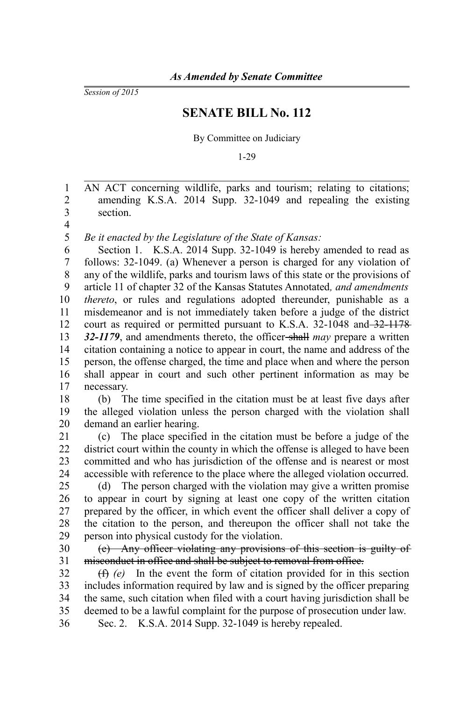*Session of 2015*

## **SENATE BILL No. 112**

By Committee on Judiciary

1-29

AN ACT concerning wildlife, parks and tourism; relating to citations; amending K.S.A. 2014 Supp. 32-1049 and repealing the existing section. 1 2 3

4 5

*Be it enacted by the Legislature of the State of Kansas:*

Section 1. K.S.A. 2014 Supp. 32-1049 is hereby amended to read as follows: 32-1049. (a) Whenever a person is charged for any violation of any of the wildlife, parks and tourism laws of this state or the provisions of article 11 of chapter 32 of the Kansas Statutes Annotated*, and amendments thereto*, or rules and regulations adopted thereunder, punishable as a misdemeanor and is not immediately taken before a judge of the district court as required or permitted pursuant to K.S.A. 32-1048 and 32-1178 32-1179, and amendments thereto, the officer-shall *may* prepare a written citation containing a notice to appear in court, the name and address of the person, the offense charged, the time and place when and where the person shall appear in court and such other pertinent information as may be necessary. 6 7 8 9 10 11 12 13 14 15 16 17

(b) The time specified in the citation must be at least five days after the alleged violation unless the person charged with the violation shall demand an earlier hearing. 18 19 20

(c) The place specified in the citation must be before a judge of the district court within the county in which the offense is alleged to have been committed and who has jurisdiction of the offense and is nearest or most accessible with reference to the place where the alleged violation occurred. 21 22 23 24

(d) The person charged with the violation may give a written promise to appear in court by signing at least one copy of the written citation prepared by the officer, in which event the officer shall deliver a copy of the citation to the person, and thereupon the officer shall not take the person into physical custody for the violation. 25 26 27 28 29

(e) Any officer violating any provisions of this section is guilty of misconduct in office and shall be subject to removal from office. 30 31

(f) *(e)* In the event the form of citation provided for in this section includes information required by law and is signed by the officer preparing the same, such citation when filed with a court having jurisdiction shall be deemed to be a lawful complaint for the purpose of prosecution under law. 32 33 34 35

Sec. 2. K.S.A. 2014 Supp. 32-1049 is hereby repealed. 36